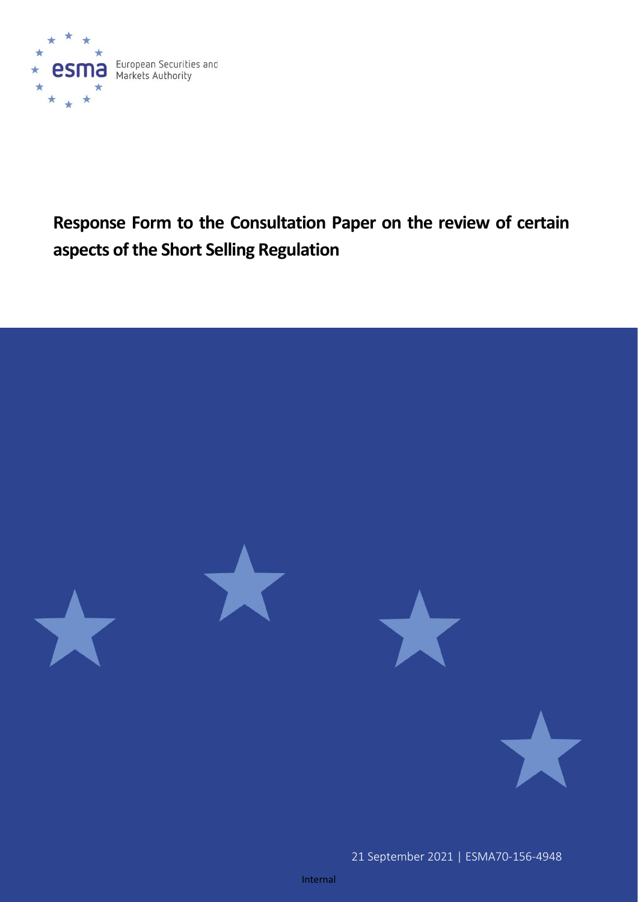

# **Response Form to the Consultation Paper on the review of certain aspects of the Short Selling Regulation**

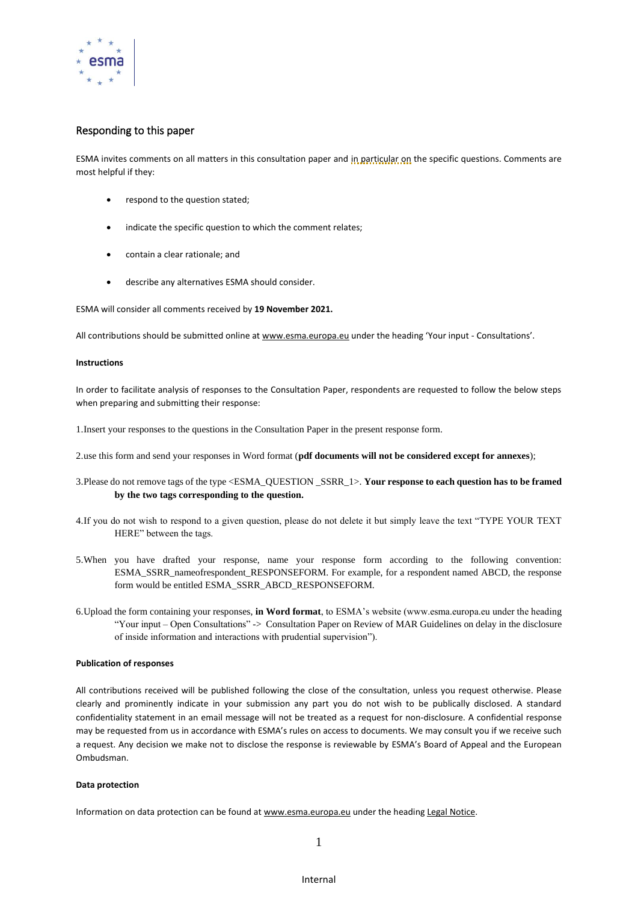

#### Responding to this paper

ESMA invites comments on all matters in this consultation paper and in particular on the specific questions. Comments are most helpful if they:

- respond to the question stated;
- indicate the specific question to which the comment relates;
- contain a clear rationale; and
- describe any alternatives ESMA should consider.

ESMA will consider all comments received by **19 November 2021.**

All contributions should be submitted online at [www.esma.europa.eu](http://www.esma.europa.eu/) under the heading 'Your input - Consultations'.

#### **Instructions**

In order to facilitate analysis of responses to the Consultation Paper, respondents are requested to follow the below steps when preparing and submitting their response:

1.Insert your responses to the questions in the Consultation Paper in the present response form.

- 2.use this form and send your responses in Word format (**pdf documents will not be considered except for annexes**);
- 3.Please do not remove tags of the type <ESMA\_QUESTION \_SSRR\_1>. **Your response to each question has to be framed by the two tags corresponding to the question.**
- 4.If you do not wish to respond to a given question, please do not delete it but simply leave the text "TYPE YOUR TEXT HERE" between the tags.
- 5.When you have drafted your response, name your response form according to the following convention: ESMA\_SSRR\_nameofrespondent\_RESPONSEFORM. For example, for a respondent named ABCD, the response form would be entitled ESMA\_SSRR\_ABCD\_RESPONSEFORM.
- 6.Upload the form containing your responses, **in Word format**, to ESMA's website (www.esma.europa.eu under the heading "Your input – Open Consultations" -> Consultation Paper on Review of MAR Guidelines on delay in the disclosure of inside information and interactions with prudential supervision").

#### **Publication of responses**

All contributions received will be published following the close of the consultation, unless you request otherwise. Please clearly and prominently indicate in your submission any part you do not wish to be publically disclosed. A standard confidentiality statement in an email message will not be treated as a request for non-disclosure. A confidential response may be requested from us in accordance with ESMA's rules on access to documents. We may consult you if we receive such a request. Any decision we make not to disclose the response is reviewable by ESMA's Board of Appeal and the European Ombudsman.

#### **Data protection**

Information on data protection can be found a[t www.esma.europa.eu](http://www.esma.europa.eu/) under the headin[g Legal Notice.](http://www.esma.europa.eu/legal-notice)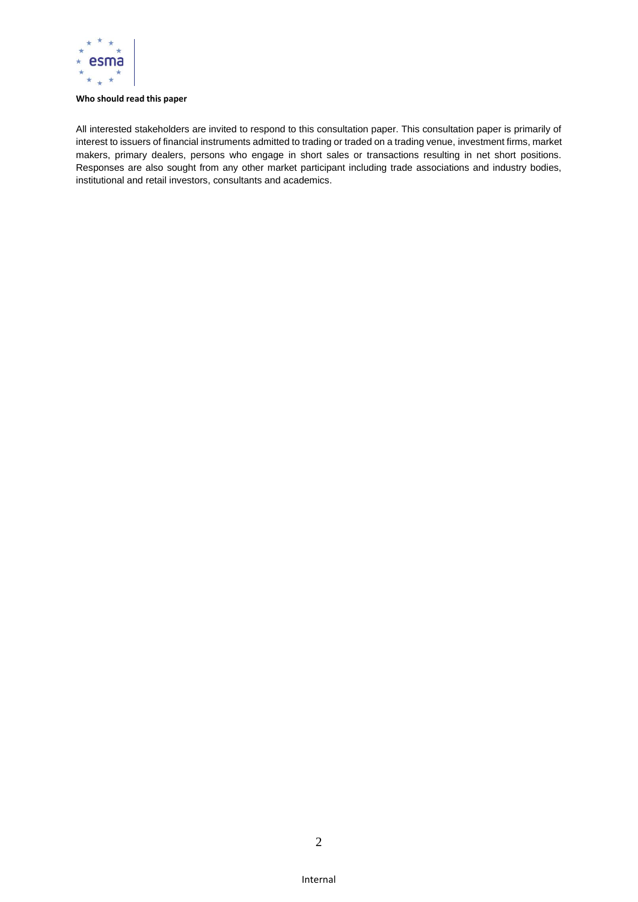

#### **Who should read this paper**

All interested stakeholders are invited to respond to this consultation paper. This consultation paper is primarily of interest to issuers of financial instruments admitted to trading or traded on a trading venue, investment firms, market makers, primary dealers, persons who engage in short sales or transactions resulting in net short positions. Responses are also sought from any other market participant including trade associations and industry bodies, institutional and retail investors, consultants and academics.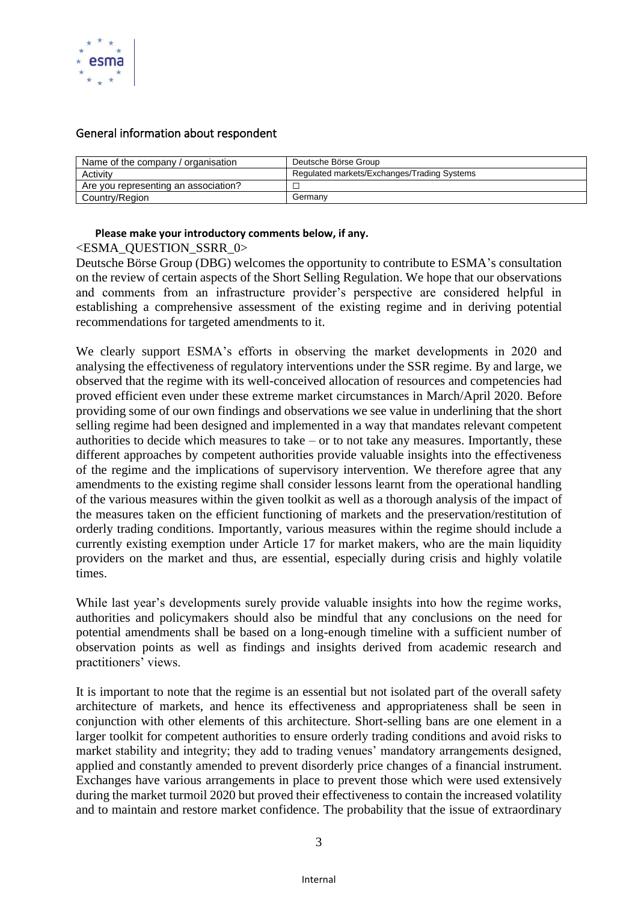

# General information about respondent

| Name of the company / organisation   | Deutsche Börse Group                        |
|--------------------------------------|---------------------------------------------|
| Activity                             | Regulated markets/Exchanges/Trading Systems |
| Are you representing an association? |                                             |
| Country/Region                       | Germany                                     |

## **Please make your introductory comments below, if any.**

## <ESMA\_QUESTION\_SSRR\_0>

Deutsche Börse Group (DBG) welcomes the opportunity to contribute to ESMA's consultation on the review of certain aspects of the Short Selling Regulation. We hope that our observations and comments from an infrastructure provider's perspective are considered helpful in establishing a comprehensive assessment of the existing regime and in deriving potential recommendations for targeted amendments to it.

We clearly support ESMA's efforts in observing the market developments in 2020 and analysing the effectiveness of regulatory interventions under the SSR regime. By and large, we observed that the regime with its well-conceived allocation of resources and competencies had proved efficient even under these extreme market circumstances in March/April 2020. Before providing some of our own findings and observations we see value in underlining that the short selling regime had been designed and implemented in a way that mandates relevant competent authorities to decide which measures to take – or to not take any measures. Importantly, these different approaches by competent authorities provide valuable insights into the effectiveness of the regime and the implications of supervisory intervention. We therefore agree that any amendments to the existing regime shall consider lessons learnt from the operational handling of the various measures within the given toolkit as well as a thorough analysis of the impact of the measures taken on the efficient functioning of markets and the preservation/restitution of orderly trading conditions. Importantly, various measures within the regime should include a currently existing exemption under Article 17 for market makers, who are the main liquidity providers on the market and thus, are essential, especially during crisis and highly volatile times.

While last year's developments surely provide valuable insights into how the regime works, authorities and policymakers should also be mindful that any conclusions on the need for potential amendments shall be based on a long-enough timeline with a sufficient number of observation points as well as findings and insights derived from academic research and practitioners' views.

It is important to note that the regime is an essential but not isolated part of the overall safety architecture of markets, and hence its effectiveness and appropriateness shall be seen in conjunction with other elements of this architecture. Short-selling bans are one element in a larger toolkit for competent authorities to ensure orderly trading conditions and avoid risks to market stability and integrity; they add to trading venues' mandatory arrangements designed, applied and constantly amended to prevent disorderly price changes of a financial instrument. Exchanges have various arrangements in place to prevent those which were used extensively during the market turmoil 2020 but proved their effectiveness to contain the increased volatility and to maintain and restore market confidence. The probability that the issue of extraordinary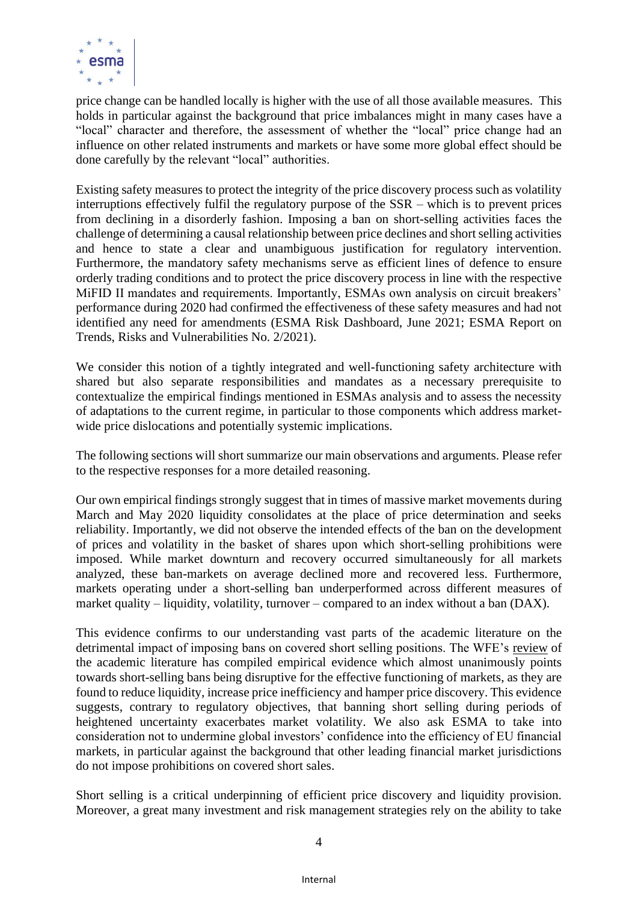

price change can be handled locally is higher with the use of all those available measures. This holds in particular against the background that price imbalances might in many cases have a "local" character and therefore, the assessment of whether the "local" price change had an influence on other related instruments and markets or have some more global effect should be done carefully by the relevant "local" authorities.

Existing safety measures to protect the integrity of the price discovery process such as volatility interruptions effectively fulfil the regulatory purpose of the SSR – which is to prevent prices from declining in a disorderly fashion. Imposing a ban on short-selling activities faces the challenge of determining a causal relationship between price declines and short selling activities and hence to state a clear and unambiguous justification for regulatory intervention. Furthermore, the mandatory safety mechanisms serve as efficient lines of defence to ensure orderly trading conditions and to protect the price discovery process in line with the respective MiFID II mandates and requirements. Importantly, ESMAs own analysis on circuit breakers' performance during 2020 had confirmed the effectiveness of these safety measures and had not identified any need for amendments (ESMA Risk Dashboard, June 2021; ESMA Report on Trends, Risks and Vulnerabilities No. 2/2021).

We consider this notion of a tightly integrated and well-functioning safety architecture with shared but also separate responsibilities and mandates as a necessary prerequisite to contextualize the empirical findings mentioned in ESMAs analysis and to assess the necessity of adaptations to the current regime, in particular to those components which address marketwide price dislocations and potentially systemic implications.

The following sections will short summarize our main observations and arguments. Please refer to the respective responses for a more detailed reasoning.

Our own empirical findings strongly suggest that in times of massive market movements during March and May 2020 liquidity consolidates at the place of price determination and seeks reliability. Importantly, we did not observe the intended effects of the ban on the development of prices and volatility in the basket of shares upon which short-selling prohibitions were imposed. While market downturn and recovery occurred simultaneously for all markets analyzed, these ban-markets on average declined more and recovered less. Furthermore, markets operating under a short-selling ban underperformed across different measures of market quality – liquidity, volatility, turnover – compared to an index without a ban (DAX).

This evidence confirms to our understanding vast parts of the academic literature on the detrimental impact of imposing bans on covered short selling positions. The WFE's [review](https://www.world-exchanges.org/news/articles/world-federation-exchanges-academic-review-short-selling-concludes-bans-are-disruptive-markets) of the academic literature has compiled empirical evidence which almost unanimously points towards short-selling bans being disruptive for the effective functioning of markets, as they are found to reduce liquidity, increase price inefficiency and hamper price discovery. This evidence suggests, contrary to regulatory objectives, that banning short selling during periods of heightened uncertainty exacerbates market volatility. We also ask ESMA to take into consideration not to undermine global investors' confidence into the efficiency of EU financial markets, in particular against the background that other leading financial market jurisdictions do not impose prohibitions on covered short sales.

Short selling is a critical underpinning of efficient price discovery and liquidity provision. Moreover, a great many investment and risk management strategies rely on the ability to take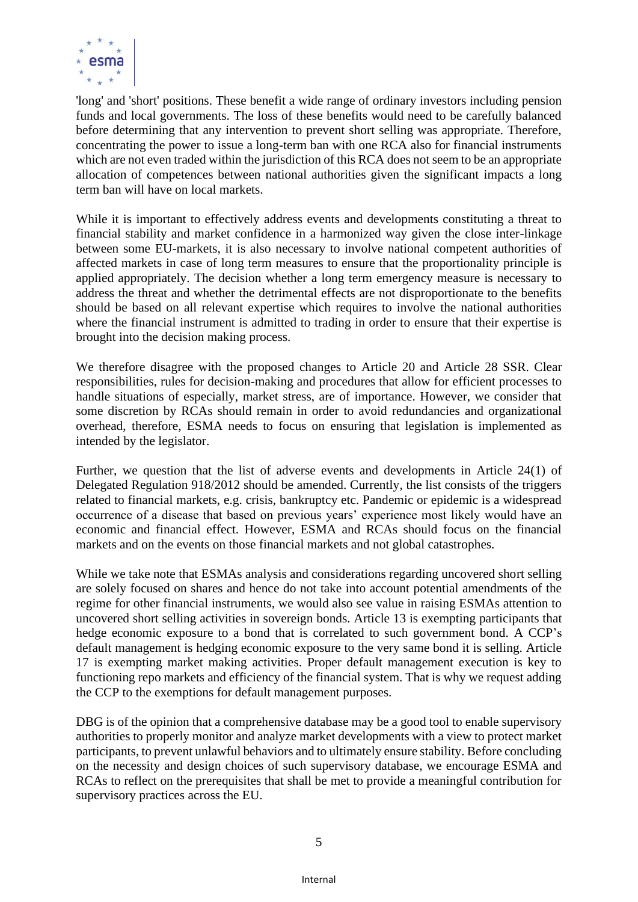

'long' and 'short' positions. These benefit a wide range of ordinary investors including pension funds and local governments. The loss of these benefits would need to be carefully balanced before determining that any intervention to prevent short selling was appropriate. Therefore, concentrating the power to issue a long-term ban with one RCA also for financial instruments which are not even traded within the jurisdiction of this RCA does not seem to be an appropriate allocation of competences between national authorities given the significant impacts a long term ban will have on local markets.

While it is important to effectively address events and developments constituting a threat to financial stability and market confidence in a harmonized way given the close inter-linkage between some EU-markets, it is also necessary to involve national competent authorities of affected markets in case of long term measures to ensure that the proportionality principle is applied appropriately. The decision whether a long term emergency measure is necessary to address the threat and whether the detrimental effects are not disproportionate to the benefits should be based on all relevant expertise which requires to involve the national authorities where the financial instrument is admitted to trading in order to ensure that their expertise is brought into the decision making process.

We therefore disagree with the proposed changes to Article 20 and Article 28 SSR. Clear responsibilities, rules for decision-making and procedures that allow for efficient processes to handle situations of especially, market stress, are of importance. However, we consider that some discretion by RCAs should remain in order to avoid redundancies and organizational overhead, therefore, ESMA needs to focus on ensuring that legislation is implemented as intended by the legislator.

Further, we question that the list of adverse events and developments in Article 24(1) of Delegated Regulation 918/2012 should be amended. Currently, the list consists of the triggers related to financial markets, e.g. crisis, bankruptcy etc. Pandemic or epidemic is a widespread occurrence of a disease that based on previous years' experience most likely would have an economic and financial effect. However, ESMA and RCAs should focus on the financial markets and on the events on those financial markets and not global catastrophes.

While we take note that ESMAs analysis and considerations regarding uncovered short selling are solely focused on shares and hence do not take into account potential amendments of the regime for other financial instruments, we would also see value in raising ESMAs attention to uncovered short selling activities in sovereign bonds. Article 13 is exempting participants that hedge economic exposure to a bond that is correlated to such government bond. A CCP's default management is hedging economic exposure to the very same bond it is selling. Article 17 is exempting market making activities. Proper default management execution is key to functioning repo markets and efficiency of the financial system. That is why we request adding the CCP to the exemptions for default management purposes.

DBG is of the opinion that a comprehensive database may be a good tool to enable supervisory authorities to properly monitor and analyze market developments with a view to protect market participants, to prevent unlawful behaviors and to ultimately ensure stability. Before concluding on the necessity and design choices of such supervisory database, we encourage ESMA and RCAs to reflect on the prerequisites that shall be met to provide a meaningful contribution for supervisory practices across the EU.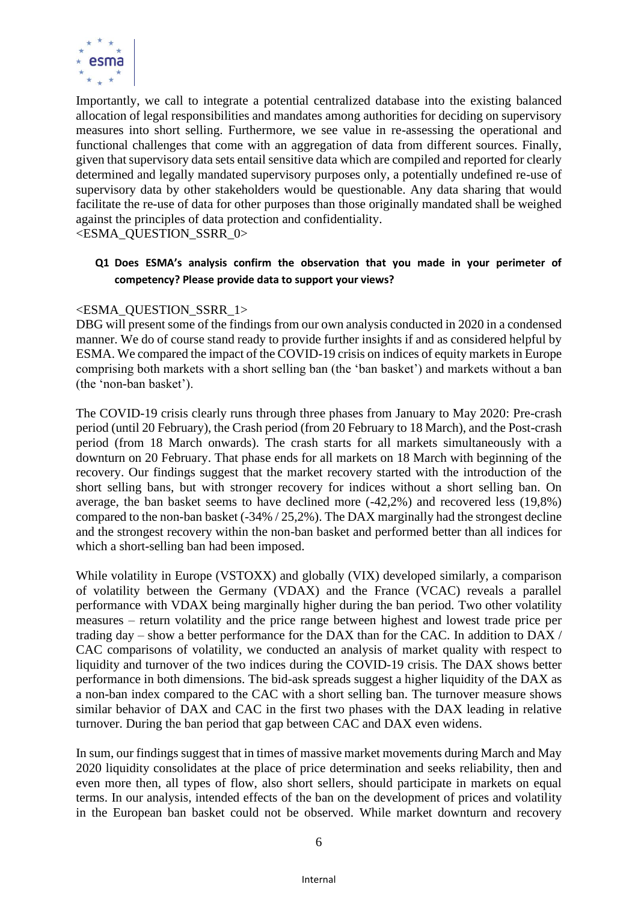

Importantly, we call to integrate a potential centralized database into the existing balanced allocation of legal responsibilities and mandates among authorities for deciding on supervisory measures into short selling. Furthermore, we see value in re-assessing the operational and functional challenges that come with an aggregation of data from different sources. Finally, given that supervisory data sets entail sensitive data which are compiled and reported for clearly determined and legally mandated supervisory purposes only, a potentially undefined re-use of supervisory data by other stakeholders would be questionable. Any data sharing that would facilitate the re-use of data for other purposes than those originally mandated shall be weighed against the principles of data protection and confidentiality.

#### <ESMA\_QUESTION\_SSRR\_0>

# **Q1 Does ESMA's analysis confirm the observation that you made in your perimeter of competency? Please provide data to support your views?**

## <ESMA\_QUESTION\_SSRR\_1>

DBG will present some of the findings from our own analysis conducted in 2020 in a condensed manner. We do of course stand ready to provide further insights if and as considered helpful by ESMA. We compared the impact of the COVID-19 crisis on indices of equity markets in Europe comprising both markets with a short selling ban (the 'ban basket') and markets without a ban (the 'non-ban basket').

The COVID-19 crisis clearly runs through three phases from January to May 2020: Pre-crash period (until 20 February), the Crash period (from 20 February to 18 March), and the Post-crash period (from 18 March onwards). The crash starts for all markets simultaneously with a downturn on 20 February. That phase ends for all markets on 18 March with beginning of the recovery. Our findings suggest that the market recovery started with the introduction of the short selling bans, but with stronger recovery for indices without a short selling ban. On average, the ban basket seems to have declined more (-42,2%) and recovered less (19,8%) compared to the non-ban basket (-34% / 25,2%). The DAX marginally had the strongest decline and the strongest recovery within the non-ban basket and performed better than all indices for which a short-selling ban had been imposed.

While volatility in Europe (VSTOXX) and globally (VIX) developed similarly, a comparison of volatility between the Germany (VDAX) and the France (VCAC) reveals a parallel performance with VDAX being marginally higher during the ban period. Two other volatility measures – return volatility and the price range between highest and lowest trade price per trading day – show a better performance for the DAX than for the CAC. In addition to DAX / CAC comparisons of volatility, we conducted an analysis of market quality with respect to liquidity and turnover of the two indices during the COVID-19 crisis. The DAX shows better performance in both dimensions. The bid-ask spreads suggest a higher liquidity of the DAX as a non-ban index compared to the CAC with a short selling ban. The turnover measure shows similar behavior of DAX and CAC in the first two phases with the DAX leading in relative turnover. During the ban period that gap between CAC and DAX even widens.

In sum, our findings suggest that in times of massive market movements during March and May 2020 liquidity consolidates at the place of price determination and seeks reliability, then and even more then, all types of flow, also short sellers, should participate in markets on equal terms. In our analysis, intended effects of the ban on the development of prices and volatility in the European ban basket could not be observed. While market downturn and recovery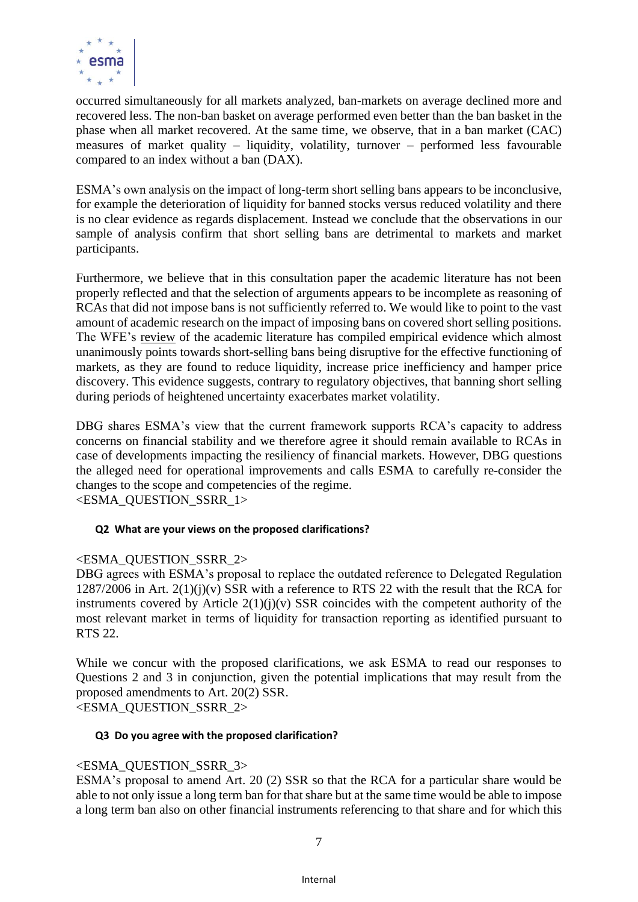

occurred simultaneously for all markets analyzed, ban-markets on average declined more and recovered less. The non-ban basket on average performed even better than the ban basket in the phase when all market recovered. At the same time, we observe, that in a ban market (CAC) measures of market quality – liquidity, volatility, turnover – performed less favourable compared to an index without a ban (DAX).

ESMA's own analysis on the impact of long-term short selling bans appears to be inconclusive, for example the deterioration of liquidity for banned stocks versus reduced volatility and there is no clear evidence as regards displacement. Instead we conclude that the observations in our sample of analysis confirm that short selling bans are detrimental to markets and market participants.

Furthermore, we believe that in this consultation paper the academic literature has not been properly reflected and that the selection of arguments appears to be incomplete as reasoning of RCAs that did not impose bans is not sufficiently referred to. We would like to point to the vast amount of academic research on the impact of imposing bans on covered short selling positions. The WFE's [review](https://www.world-exchanges.org/news/articles/world-federation-exchanges-academic-review-short-selling-concludes-bans-are-disruptive-markets) of the academic literature has compiled empirical evidence which almost unanimously points towards short-selling bans being disruptive for the effective functioning of markets, as they are found to reduce liquidity, increase price inefficiency and hamper price discovery. This evidence suggests, contrary to regulatory objectives, that banning short selling during periods of heightened uncertainty exacerbates market volatility.

DBG shares ESMA's view that the current framework supports RCA's capacity to address concerns on financial stability and we therefore agree it should remain available to RCAs in case of developments impacting the resiliency of financial markets. However, DBG questions the alleged need for operational improvements and calls ESMA to carefully re-consider the changes to the scope and competencies of the regime. <ESMA\_QUESTION\_SSRR\_1>

## **Q2 What are your views on the proposed clarifications?**

## <ESMA\_QUESTION\_SSRR\_2>

DBG agrees with ESMA's proposal to replace the outdated reference to Delegated Regulation  $1287/2006$  in Art.  $2(1)(i)(v)$  SSR with a reference to RTS 22 with the result that the RCA for instruments covered by Article  $2(1)(i)(v)$  SSR coincides with the competent authority of the most relevant market in terms of liquidity for transaction reporting as identified pursuant to RTS 22.

While we concur with the proposed clarifications, we ask ESMA to read our responses to Questions 2 and 3 in conjunction, given the potential implications that may result from the proposed amendments to Art. 20(2) SSR. <ESMA\_QUESTION\_SSRR\_2>

#### **Q3 Do you agree with the proposed clarification?**

## <ESMA\_QUESTION\_SSRR\_3>

ESMA's proposal to amend Art. 20 (2) SSR so that the RCA for a particular share would be able to not only issue a long term ban for that share but at the same time would be able to impose a long term ban also on other financial instruments referencing to that share and for which this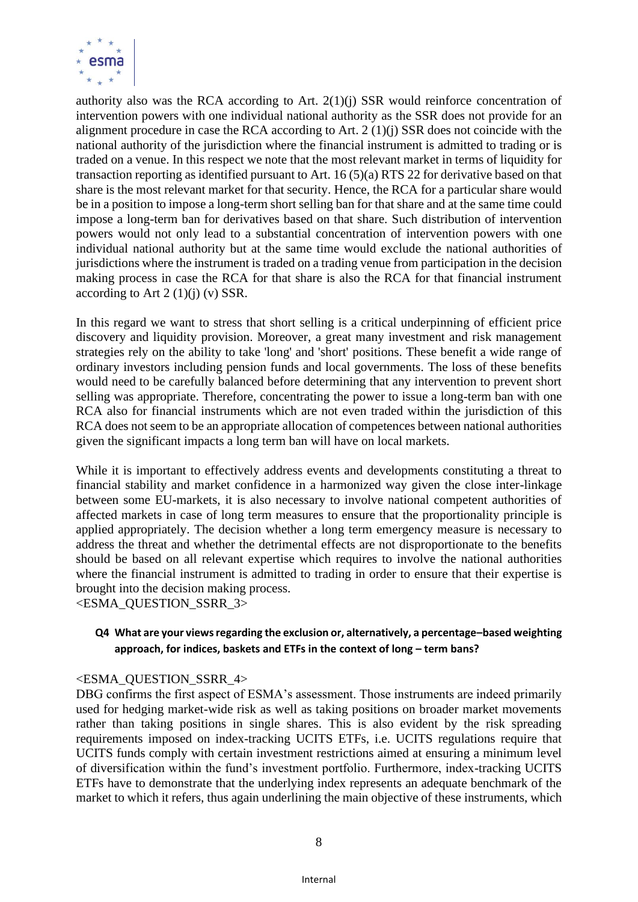

authority also was the RCA according to Art. 2(1)(j) SSR would reinforce concentration of intervention powers with one individual national authority as the SSR does not provide for an alignment procedure in case the RCA according to Art. 2 (1)(j) SSR does not coincide with the national authority of the jurisdiction where the financial instrument is admitted to trading or is traded on a venue. In this respect we note that the most relevant market in terms of liquidity for transaction reporting as identified pursuant to Art. 16 (5)(a) RTS 22 for derivative based on that share is the most relevant market for that security. Hence, the RCA for a particular share would be in a position to impose a long-term short selling ban for that share and at the same time could impose a long-term ban for derivatives based on that share. Such distribution of intervention powers would not only lead to a substantial concentration of intervention powers with one individual national authority but at the same time would exclude the national authorities of jurisdictions where the instrument is traded on a trading venue from participation in the decision making process in case the RCA for that share is also the RCA for that financial instrument according to Art  $2(1)(j)(v)$  SSR.

In this regard we want to stress that short selling is a critical underpinning of efficient price discovery and liquidity provision. Moreover, a great many investment and risk management strategies rely on the ability to take 'long' and 'short' positions. These benefit a wide range of ordinary investors including pension funds and local governments. The loss of these benefits would need to be carefully balanced before determining that any intervention to prevent short selling was appropriate. Therefore, concentrating the power to issue a long-term ban with one RCA also for financial instruments which are not even traded within the jurisdiction of this RCA does not seem to be an appropriate allocation of competences between national authorities given the significant impacts a long term ban will have on local markets.

While it is important to effectively address events and developments constituting a threat to financial stability and market confidence in a harmonized way given the close inter-linkage between some EU-markets, it is also necessary to involve national competent authorities of affected markets in case of long term measures to ensure that the proportionality principle is applied appropriately. The decision whether a long term emergency measure is necessary to address the threat and whether the detrimental effects are not disproportionate to the benefits should be based on all relevant expertise which requires to involve the national authorities where the financial instrument is admitted to trading in order to ensure that their expertise is brought into the decision making process.

<ESMA\_QUESTION\_SSRR\_3>

# **Q4 What are your views regarding the exclusion or, alternatively, a percentage–based weighting approach, for indices, baskets and ETFs in the context of long – term bans?**

## <ESMA\_QUESTION\_SSRR\_4>

DBG confirms the first aspect of ESMA's assessment. Those instruments are indeed primarily used for hedging market-wide risk as well as taking positions on broader market movements rather than taking positions in single shares. This is also evident by the risk spreading requirements imposed on index-tracking UCITS ETFs, i.e. UCITS regulations require that UCITS funds comply with certain investment restrictions aimed at ensuring a minimum level of diversification within the fund's investment portfolio. Furthermore, index-tracking UCITS ETFs have to demonstrate that the underlying index represents an adequate benchmark of the market to which it refers, thus again underlining the main objective of these instruments, which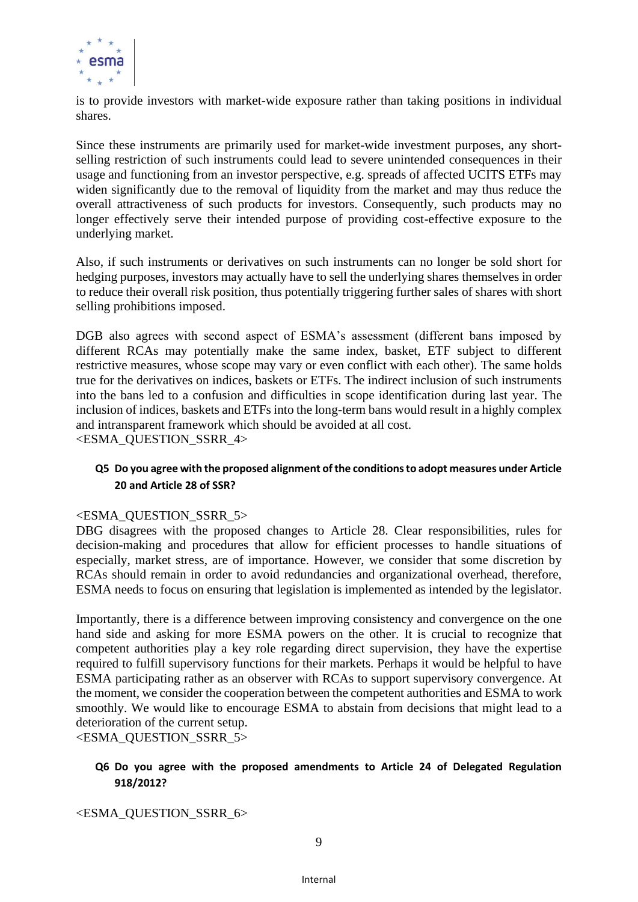

is to provide investors with market-wide exposure rather than taking positions in individual shares.

Since these instruments are primarily used for market-wide investment purposes, any shortselling restriction of such instruments could lead to severe unintended consequences in their usage and functioning from an investor perspective, e.g. spreads of affected UCITS ETFs may widen significantly due to the removal of liquidity from the market and may thus reduce the overall attractiveness of such products for investors. Consequently, such products may no longer effectively serve their intended purpose of providing cost-effective exposure to the underlying market.

Also, if such instruments or derivatives on such instruments can no longer be sold short for hedging purposes, investors may actually have to sell the underlying shares themselves in order to reduce their overall risk position, thus potentially triggering further sales of shares with short selling prohibitions imposed.

DGB also agrees with second aspect of ESMA's assessment (different bans imposed by different RCAs may potentially make the same index, basket, ETF subject to different restrictive measures, whose scope may vary or even conflict with each other). The same holds true for the derivatives on indices, baskets or ETFs. The indirect inclusion of such instruments into the bans led to a confusion and difficulties in scope identification during last year. The inclusion of indices, baskets and ETFs into the long-term bans would result in a highly complex and intransparent framework which should be avoided at all cost. <ESMA\_QUESTION\_SSRR\_4>

# **Q5 Do you agree with the proposed alignment of the conditions to adopt measures under Article 20 and Article 28 of SSR?**

# <ESMA\_QUESTION\_SSRR\_5>

DBG disagrees with the proposed changes to Article 28. Clear responsibilities, rules for decision-making and procedures that allow for efficient processes to handle situations of especially, market stress, are of importance. However, we consider that some discretion by RCAs should remain in order to avoid redundancies and organizational overhead, therefore, ESMA needs to focus on ensuring that legislation is implemented as intended by the legislator.

Importantly, there is a difference between improving consistency and convergence on the one hand side and asking for more ESMA powers on the other. It is crucial to recognize that competent authorities play a key role regarding direct supervision, they have the expertise required to fulfill supervisory functions for their markets. Perhaps it would be helpful to have ESMA participating rather as an observer with RCAs to support supervisory convergence. At the moment, we consider the cooperation between the competent authorities and ESMA to work smoothly. We would like to encourage ESMA to abstain from decisions that might lead to a deterioration of the current setup.

<ESMA\_QUESTION\_SSRR\_5>

# **Q6 Do you agree with the proposed amendments to Article 24 of Delegated Regulation 918/2012?**

<ESMA\_QUESTION\_SSRR\_6>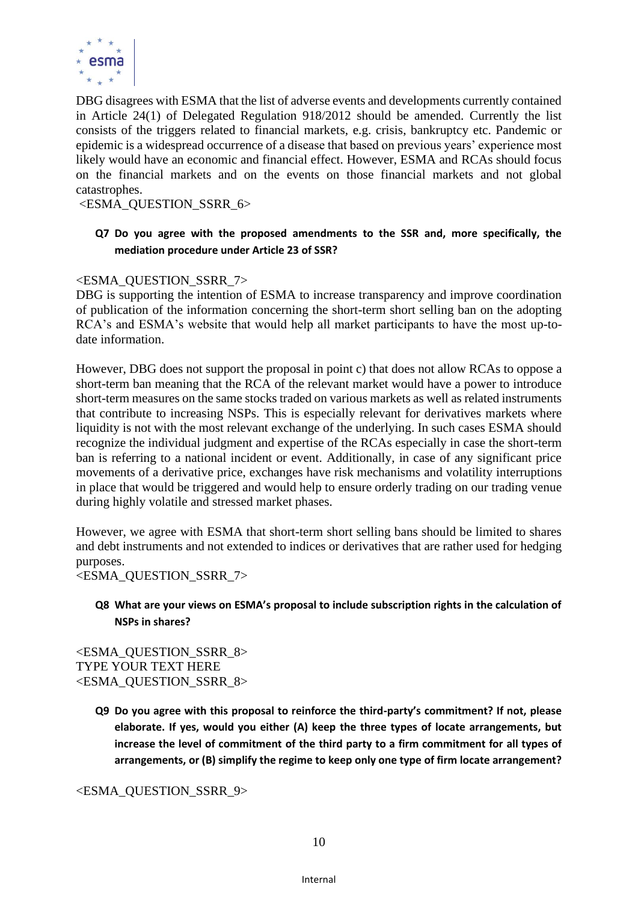

DBG disagrees with ESMA that the list of adverse events and developments currently contained in Article 24(1) of Delegated Regulation 918/2012 should be amended. Currently the list consists of the triggers related to financial markets, e.g. crisis, bankruptcy etc. Pandemic or epidemic is a widespread occurrence of a disease that based on previous years' experience most likely would have an economic and financial effect. However, ESMA and RCAs should focus on the financial markets and on the events on those financial markets and not global catastrophes.

<ESMA\_QUESTION\_SSRR\_6>

# **Q7 Do you agree with the proposed amendments to the SSR and, more specifically, the mediation procedure under Article 23 of SSR?**

# <ESMA\_QUESTION\_SSRR\_7>

DBG is supporting the intention of ESMA to increase transparency and improve coordination of publication of the information concerning the short-term short selling ban on the adopting RCA's and ESMA's website that would help all market participants to have the most up-todate information.

However, DBG does not support the proposal in point c) that does not allow RCAs to oppose a short-term ban meaning that the RCA of the relevant market would have a power to introduce short-term measures on the same stocks traded on various markets as well as related instruments that contribute to increasing NSPs. This is especially relevant for derivatives markets where liquidity is not with the most relevant exchange of the underlying. In such cases ESMA should recognize the individual judgment and expertise of the RCAs especially in case the short-term ban is referring to a national incident or event. Additionally, in case of any significant price movements of a derivative price, exchanges have risk mechanisms and volatility interruptions in place that would be triggered and would help to ensure orderly trading on our trading venue during highly volatile and stressed market phases.

However, we agree with ESMA that short-term short selling bans should be limited to shares and debt instruments and not extended to indices or derivatives that are rather used for hedging purposes.

<ESMA\_QUESTION\_SSRR\_7>

# **Q8 What are your views on ESMA's proposal to include subscription rights in the calculation of NSPs in shares?**

<ESMA\_QUESTION\_SSRR\_8> TYPE YOUR TEXT HERE <ESMA\_QUESTION\_SSRR\_8>

> **Q9 Do you agree with this proposal to reinforce the third-party's commitment? If not, please elaborate. If yes, would you either (A) keep the three types of locate arrangements, but increase the level of commitment of the third party to a firm commitment for all types of arrangements, or (B) simplify the regime to keep only one type of firm locate arrangement?**

<ESMA\_QUESTION\_SSRR\_9>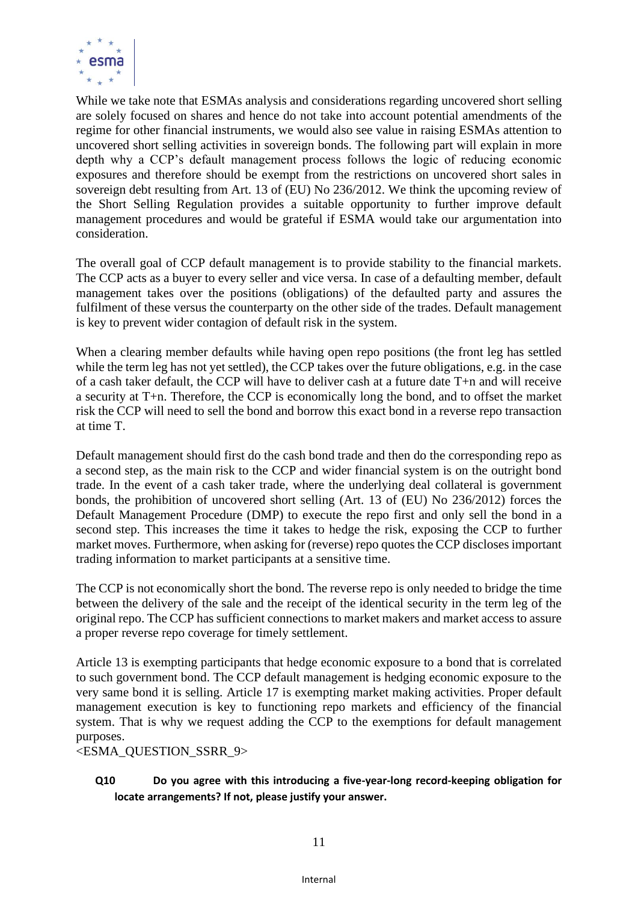

While we take note that ESMAs analysis and considerations regarding uncovered short selling are solely focused on shares and hence do not take into account potential amendments of the regime for other financial instruments, we would also see value in raising ESMAs attention to uncovered short selling activities in sovereign bonds. The following part will explain in more depth why a CCP's default management process follows the logic of reducing economic exposures and therefore should be exempt from the restrictions on uncovered short sales in sovereign debt resulting from Art. 13 of (EU) No 236/2012. We think the upcoming review of the Short Selling Regulation provides a suitable opportunity to further improve default management procedures and would be grateful if ESMA would take our argumentation into consideration.

The overall goal of CCP default management is to provide stability to the financial markets. The CCP acts as a buyer to every seller and vice versa. In case of a defaulting member, default management takes over the positions (obligations) of the defaulted party and assures the fulfilment of these versus the counterparty on the other side of the trades. Default management is key to prevent wider contagion of default risk in the system.

When a clearing member defaults while having open repo positions (the front leg has settled while the term leg has not yet settled), the CCP takes over the future obligations, e.g. in the case of a cash taker default, the CCP will have to deliver cash at a future date T+n and will receive a security at T+n. Therefore, the CCP is economically long the bond, and to offset the market risk the CCP will need to sell the bond and borrow this exact bond in a reverse repo transaction at time T.

Default management should first do the cash bond trade and then do the corresponding repo as a second step, as the main risk to the CCP and wider financial system is on the outright bond trade. In the event of a cash taker trade, where the underlying deal collateral is government bonds, the prohibition of uncovered short selling (Art. 13 of (EU) No 236/2012) forces the Default Management Procedure (DMP) to execute the repo first and only sell the bond in a second step. This increases the time it takes to hedge the risk, exposing the CCP to further market moves. Furthermore, when asking for (reverse) repo quotes the CCP discloses important trading information to market participants at a sensitive time.

The CCP is not economically short the bond. The reverse repo is only needed to bridge the time between the delivery of the sale and the receipt of the identical security in the term leg of the original repo. The CCP has sufficient connections to market makers and market access to assure a proper reverse repo coverage for timely settlement.

Article 13 is exempting participants that hedge economic exposure to a bond that is correlated to such government bond. The CCP default management is hedging economic exposure to the very same bond it is selling. Article 17 is exempting market making activities. Proper default management execution is key to functioning repo markets and efficiency of the financial system. That is why we request adding the CCP to the exemptions for default management purposes.

<ESMA\_QUESTION\_SSRR\_9>

# **Q10 Do you agree with this introducing a five-year-long record-keeping obligation for locate arrangements? If not, please justify your answer.**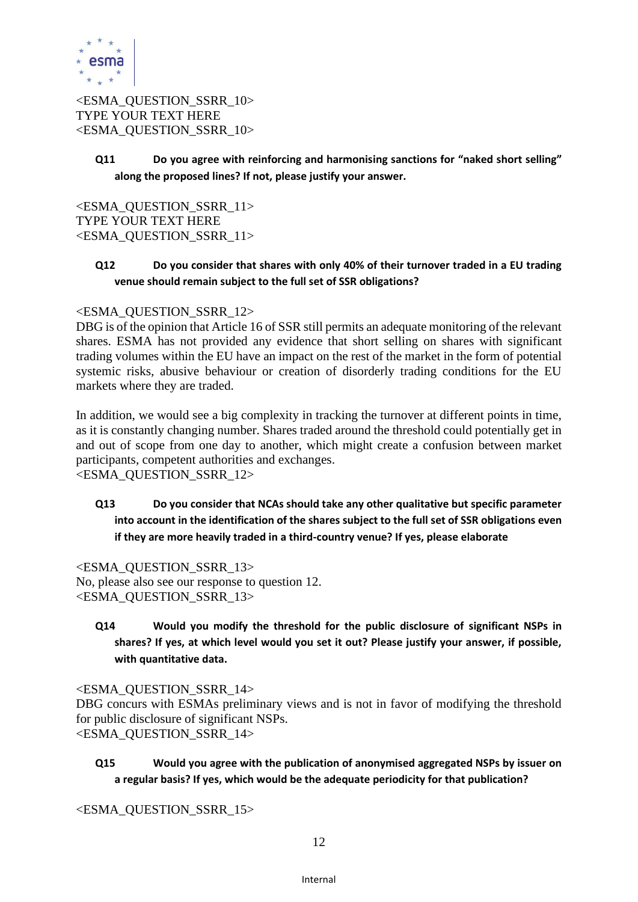

<ESMA\_QUESTION\_SSRR\_10> TYPE YOUR TEXT HERE <ESMA\_QUESTION\_SSRR\_10>

> **Q11 Do you agree with reinforcing and harmonising sanctions for "naked short selling" along the proposed lines? If not, please justify your answer.**

<ESMA\_QUESTION\_SSRR\_11> TYPE YOUR TEXT HERE <ESMA\_QUESTION\_SSRR\_11>

# **Q12 Do you consider that shares with only 40% of their turnover traded in a EU trading venue should remain subject to the full set of SSR obligations?**

## <ESMA\_QUESTION\_SSRR\_12>

DBG is of the opinion that Article 16 of SSR still permits an adequate monitoring of the relevant shares. ESMA has not provided any evidence that short selling on shares with significant trading volumes within the EU have an impact on the rest of the market in the form of potential systemic risks, abusive behaviour or creation of disorderly trading conditions for the EU markets where they are traded.

In addition, we would see a big complexity in tracking the turnover at different points in time, as it is constantly changing number. Shares traded around the threshold could potentially get in and out of scope from one day to another, which might create a confusion between market participants, competent authorities and exchanges.

<ESMA\_QUESTION\_SSRR\_12>

# **Q13 Do you consider that NCAs should take any other qualitative but specific parameter into account in the identification of the shares subject to the full set of SSR obligations even if they are more heavily traded in a third-country venue? If yes, please elaborate**

<ESMA\_QUESTION\_SSRR\_13> No, please also see our response to question 12. <ESMA\_QUESTION\_SSRR\_13>

**Q14 Would you modify the threshold for the public disclosure of significant NSPs in shares? If yes, at which level would you set it out? Please justify your answer, if possible, with quantitative data.**

<ESMA\_QUESTION\_SSRR\_14> DBG concurs with ESMAs preliminary views and is not in favor of modifying the threshold for public disclosure of significant NSPs. <ESMA\_QUESTION\_SSRR\_14>

**Q15 Would you agree with the publication of anonymised aggregated NSPs by issuer on a regular basis? If yes, which would be the adequate periodicity for that publication?**

<ESMA\_QUESTION\_SSRR\_15>